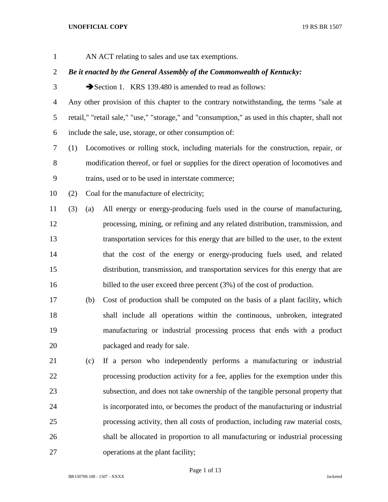AN ACT relating to sales and use tax exemptions.

# *Be it enacted by the General Assembly of the Commonwealth of Kentucky:*

3 Section 1. KRS 139.480 is amended to read as follows:

 Any other provision of this chapter to the contrary notwithstanding, the terms "sale at retail," "retail sale," "use," "storage," and "consumption," as used in this chapter, shall not include the sale, use, storage, or other consumption of:

 (1) Locomotives or rolling stock, including materials for the construction, repair, or modification thereof, or fuel or supplies for the direct operation of locomotives and trains, used or to be used in interstate commerce;

(2) Coal for the manufacture of electricity;

 (3) (a) All energy or energy-producing fuels used in the course of manufacturing, processing, mining, or refining and any related distribution, transmission, and transportation services for this energy that are billed to the user, to the extent that the cost of the energy or energy-producing fuels used, and related distribution, transmission, and transportation services for this energy that are 16 billed to the user exceed three percent (3%) of the cost of production.

 (b) Cost of production shall be computed on the basis of a plant facility, which shall include all operations within the continuous, unbroken, integrated manufacturing or industrial processing process that ends with a product packaged and ready for sale.

 (c) If a person who independently performs a manufacturing or industrial processing production activity for a fee, applies for the exemption under this subsection, and does not take ownership of the tangible personal property that is incorporated into, or becomes the product of the manufacturing or industrial processing activity, then all costs of production, including raw material costs, shall be allocated in proportion to all manufacturing or industrial processing operations at the plant facility;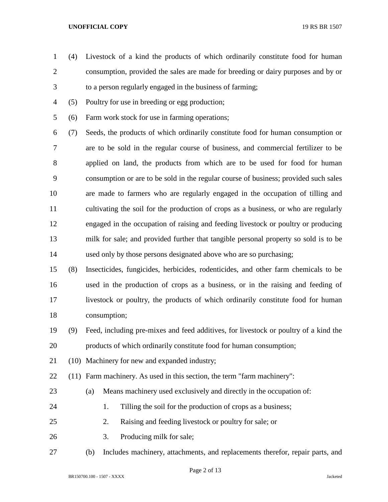- (4) Livestock of a kind the products of which ordinarily constitute food for human consumption, provided the sales are made for breeding or dairy purposes and by or to a person regularly engaged in the business of farming;
- (5) Poultry for use in breeding or egg production;
- (6) Farm work stock for use in farming operations;

 (7) Seeds, the products of which ordinarily constitute food for human consumption or are to be sold in the regular course of business, and commercial fertilizer to be applied on land, the products from which are to be used for food for human consumption or are to be sold in the regular course of business; provided such sales are made to farmers who are regularly engaged in the occupation of tilling and cultivating the soil for the production of crops as a business, or who are regularly engaged in the occupation of raising and feeding livestock or poultry or producing milk for sale; and provided further that tangible personal property so sold is to be used only by those persons designated above who are so purchasing;

 (8) Insecticides, fungicides, herbicides, rodenticides, and other farm chemicals to be used in the production of crops as a business, or in the raising and feeding of livestock or poultry, the products of which ordinarily constitute food for human consumption;

- (9) Feed, including pre-mixes and feed additives, for livestock or poultry of a kind the products of which ordinarily constitute food for human consumption;
- (10) Machinery for new and expanded industry;

(11) Farm machinery. As used in this section, the term "farm machinery":

- (a) Means machinery used exclusively and directly in the occupation of:
- 
- 24 1. Tilling the soil for the production of crops as a business;
- 2. Raising and feeding livestock or poultry for sale; or
- 3. Producing milk for sale;
- (b) Includes machinery, attachments, and replacements therefor, repair parts, and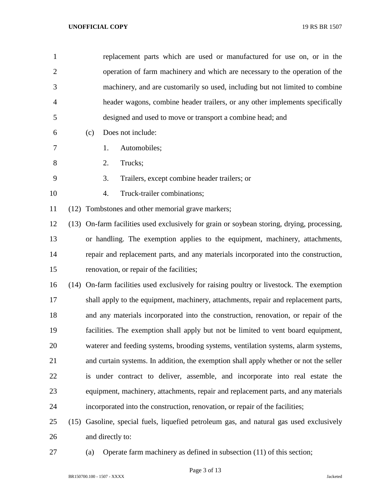| 1              | replacement parts which are used or manufactured for use on, or in the                     |
|----------------|--------------------------------------------------------------------------------------------|
| $\overline{2}$ | operation of farm machinery and which are necessary to the operation of the                |
| 3              | machinery, and are customarily so used, including but not limited to combine               |
| $\overline{4}$ | header wagons, combine header trailers, or any other implements specifically               |
| 5              | designed and used to move or transport a combine head; and                                 |
| 6              | Does not include:<br>(c)                                                                   |
| $\tau$         | 1.<br>Automobiles;                                                                         |
| 8              | 2.<br>Trucks;                                                                              |
| 9              | 3.<br>Trailers, except combine header trailers; or                                         |
| 10             | Truck-trailer combinations;<br>4.                                                          |
| 11             | (12) Tombstones and other memorial grave markers;                                          |
| 12             | (13) On-farm facilities used exclusively for grain or soybean storing, drying, processing, |
| 13             | or handling. The exemption applies to the equipment, machinery, attachments,               |
| 14             | repair and replacement parts, and any materials incorporated into the construction,        |
| 15             | renovation, or repair of the facilities;                                                   |
| 16             | (14) On-farm facilities used exclusively for raising poultry or livestock. The exemption   |
| 17             | shall apply to the equipment, machinery, attachments, repair and replacement parts,        |
| 18             | and any materials incorporated into the construction, renovation, or repair of the         |
| 19             | facilities. The exemption shall apply but not be limited to vent board equipment,          |
| 20             | waterer and feeding systems, brooding systems, ventilation systems, alarm systems,         |
| 21             | and curtain systems. In addition, the exemption shall apply whether or not the seller      |
| 22             | is under contract to deliver, assemble, and incorporate into real estate the               |
| 23             | equipment, machinery, attachments, repair and replacement parts, and any materials         |
| 24             | incorporated into the construction, renovation, or repair of the facilities;               |
| 25             | (15) Gasoline, special fuels, liquefied petroleum gas, and natural gas used exclusively    |
| 26             | and directly to:                                                                           |

- 
- (a) Operate farm machinery as defined in subsection (11) of this section;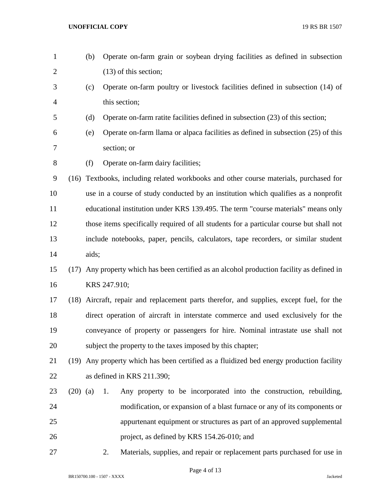- (b) Operate on-farm grain or soybean drying facilities as defined in subsection (13) of this section;
- (c) Operate on-farm poultry or livestock facilities defined in subsection (14) of this section;
- (d) Operate on-farm ratite facilities defined in subsection (23) of this section;
- (e) Operate on-farm llama or alpaca facilities as defined in subsection (25) of this section; or
- (f) Operate on-farm dairy facilities;

 (16) Textbooks, including related workbooks and other course materials, purchased for use in a course of study conducted by an institution which qualifies as a nonprofit educational institution under KRS 139.495. The term "course materials" means only those items specifically required of all students for a particular course but shall not include notebooks, paper, pencils, calculators, tape recorders, or similar student aids;

# (17) Any property which has been certified as an alcohol production facility as defined in KRS 247.910;

 (18) Aircraft, repair and replacement parts therefor, and supplies, except fuel, for the direct operation of aircraft in interstate commerce and used exclusively for the conveyance of property or passengers for hire. Nominal intrastate use shall not subject the property to the taxes imposed by this chapter;

# (19) Any property which has been certified as a fluidized bed energy production facility as defined in KRS 211.390;

- (20) (a) 1. Any property to be incorporated into the construction, rebuilding, modification, or expansion of a blast furnace or any of its components or appurtenant equipment or structures as part of an approved supplemental project, as defined by KRS 154.26-010; and
- 

2. Materials, supplies, and repair or replacement parts purchased for use in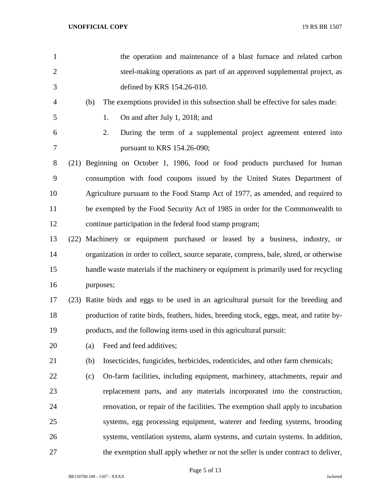| $\mathbf{1}$   |      |     | the operation and maintenance of a blast furnace and related carbon                     |
|----------------|------|-----|-----------------------------------------------------------------------------------------|
| $\overline{2}$ |      |     | steel-making operations as part of an approved supplemental project, as                 |
| 3              |      |     | defined by KRS 154.26-010.                                                              |
| 4              |      | (b) | The exemptions provided in this subsection shall be effective for sales made:           |
| 5              |      |     | On and after July 1, 2018; and<br>1.                                                    |
| 6              |      |     | 2.<br>During the term of a supplemental project agreement entered into                  |
| 7              |      |     | pursuant to KRS 154.26-090;                                                             |
| 8              |      |     | (21) Beginning on October 1, 1986, food or food products purchased for human            |
| 9              |      |     | consumption with food coupons issued by the United States Department of                 |
| 10             |      |     | Agriculture pursuant to the Food Stamp Act of 1977, as amended, and required to         |
| 11             |      |     | be exempted by the Food Security Act of 1985 in order for the Commonwealth to           |
| 12             |      |     | continue participation in the federal food stamp program;                               |
| 13             | (22) |     | Machinery or equipment purchased or leased by a business, industry, or                  |
| 14             |      |     | organization in order to collect, source separate, compress, bale, shred, or otherwise  |
| 15             |      |     | handle waste materials if the machinery or equipment is primarily used for recycling    |
| 16             |      |     | purposes;                                                                               |
| 17             |      |     | (23) Ratite birds and eggs to be used in an agricultural pursuit for the breeding and   |
| 18             |      |     | production of ratite birds, feathers, hides, breeding stock, eggs, meat, and ratite by- |
| 19             |      |     | products, and the following items used in this agricultural pursuit:                    |
| 20             |      | (a) | Feed and feed additives;                                                                |
| 21             |      | (b) | Insecticides, fungicides, herbicides, rodenticides, and other farm chemicals;           |
| 22             |      | (c) | On-farm facilities, including equipment, machinery, attachments, repair and             |
| 23             |      |     | replacement parts, and any materials incorporated into the construction,                |
| 24             |      |     | renovation, or repair of the facilities. The exemption shall apply to incubation        |
| 25             |      |     | systems, egg processing equipment, waterer and feeding systems, brooding                |
| 26             |      |     | systems, ventilation systems, alarm systems, and curtain systems. In addition,          |
| 27             |      |     | the exemption shall apply whether or not the seller is under contract to deliver,       |

Page 5 of 13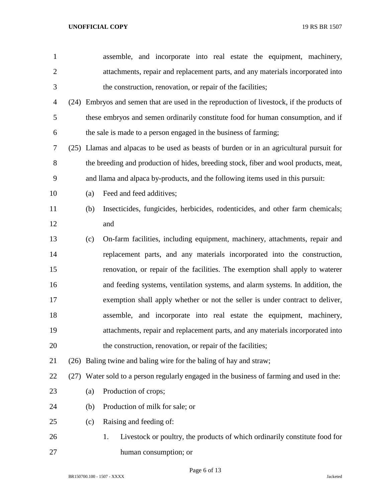| $\mathbf{1}$   |     | assemble, and incorporate into real estate the equipment, machinery,                      |
|----------------|-----|-------------------------------------------------------------------------------------------|
| $\overline{2}$ |     | attachments, repair and replacement parts, and any materials incorporated into            |
| 3              |     | the construction, renovation, or repair of the facilities;                                |
| 4              |     | (24) Embryos and semen that are used in the reproduction of livestock, if the products of |
| 5              |     | these embryos and semen ordinarily constitute food for human consumption, and if          |
| 6              |     | the sale is made to a person engaged in the business of farming;                          |
| 7              |     | (25) Llamas and alpacas to be used as beasts of burden or in an agricultural pursuit for  |
| 8              |     | the breeding and production of hides, breeding stock, fiber and wool products, meat,      |
| 9              |     | and llama and alpaca by-products, and the following items used in this pursuit:           |
| 10             | (a) | Feed and feed additives;                                                                  |
| 11             | (b) | Insecticides, fungicides, herbicides, rodenticides, and other farm chemicals;             |
| 12             |     | and                                                                                       |
| 13             | (c) | On-farm facilities, including equipment, machinery, attachments, repair and               |
| 14             |     | replacement parts, and any materials incorporated into the construction,                  |
| 15             |     | renovation, or repair of the facilities. The exemption shall apply to waterer             |
| 16             |     | and feeding systems, ventilation systems, and alarm systems. In addition, the             |
| 17             |     | exemption shall apply whether or not the seller is under contract to deliver,             |
| 18             |     | assemble, and incorporate into real estate the equipment, machinery,                      |
| 19             |     | attachments, repair and replacement parts, and any materials incorporated into            |
| 20             |     | the construction, renovation, or repair of the facilities;                                |
| 21             |     | (26) Baling twine and baling wire for the baling of hay and straw;                        |
| 22             |     | (27) Water sold to a person regularly engaged in the business of farming and used in the: |
| 23             | (a) | Production of crops;                                                                      |
| 24             | (b) | Production of milk for sale; or                                                           |
| 25             | (c) | Raising and feeding of:                                                                   |
| 26             |     | Livestock or poultry, the products of which ordinarily constitute food for<br>1.          |
| 27             |     | human consumption; or                                                                     |

Page 6 of 13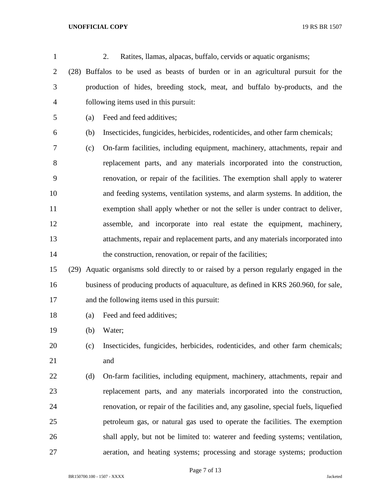| $\mathbf{1}$   |     | 2.<br>Ratites, Ilamas, alpacas, buffalo, cervids or aquatic organisms;                 |
|----------------|-----|----------------------------------------------------------------------------------------|
| $\overline{2}$ |     | (28) Buffalos to be used as beasts of burden or in an agricultural pursuit for the     |
| 3              |     | production of hides, breeding stock, meat, and buffalo by-products, and the            |
| $\overline{4}$ |     | following items used in this pursuit:                                                  |
| 5              | (a) | Feed and feed additives;                                                               |
| 6              | (b) | Insecticides, fungicides, herbicides, rodenticides, and other farm chemicals;          |
| 7              | (c) | On-farm facilities, including equipment, machinery, attachments, repair and            |
| 8              |     | replacement parts, and any materials incorporated into the construction,               |
| 9              |     | renovation, or repair of the facilities. The exemption shall apply to waterer          |
| 10             |     | and feeding systems, ventilation systems, and alarm systems. In addition, the          |
| 11             |     | exemption shall apply whether or not the seller is under contract to deliver,          |
| 12             |     | assemble, and incorporate into real estate the equipment, machinery,                   |
| 13             |     | attachments, repair and replacement parts, and any materials incorporated into         |
| 14             |     | the construction, renovation, or repair of the facilities;                             |
| 15             |     | (29) Aquatic organisms sold directly to or raised by a person regularly engaged in the |
| 16             |     | business of producing products of aquaculture, as defined in KRS 260.960, for sale,    |
| 17             |     | and the following items used in this pursuit:                                          |
| 18             | (a) | Feed and feed additives;                                                               |
| 19             | (b) | Water;                                                                                 |
| 20             | (c) | Insecticides, fungicides, herbicides, rodenticides, and other farm chemicals;          |
| 21             |     | and                                                                                    |
| 22             | (d) | On-farm facilities, including equipment, machinery, attachments, repair and            |
| 23             |     | replacement parts, and any materials incorporated into the construction,               |
| 24             |     | renovation, or repair of the facilities and, any gasoline, special fuels, liquefied    |
| 25             |     | petroleum gas, or natural gas used to operate the facilities. The exemption            |
| 26             |     | shall apply, but not be limited to: waterer and feeding systems; ventilation,          |
| 27             |     | aeration, and heating systems; processing and storage systems; production              |

Page 7 of 13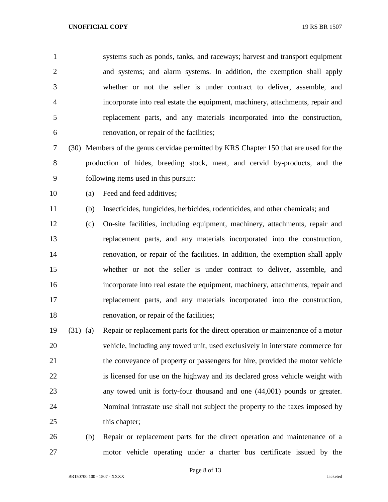systems such as ponds, tanks, and raceways; harvest and transport equipment and systems; and alarm systems. In addition, the exemption shall apply whether or not the seller is under contract to deliver, assemble, and incorporate into real estate the equipment, machinery, attachments, repair and replacement parts, and any materials incorporated into the construction, renovation, or repair of the facilities;

 (30) Members of the genus cervidae permitted by KRS Chapter 150 that are used for the production of hides, breeding stock, meat, and cervid by-products, and the following items used in this pursuit:

(a) Feed and feed additives;

(b) Insecticides, fungicides, herbicides, rodenticides, and other chemicals; and

- (c) On-site facilities, including equipment, machinery, attachments, repair and replacement parts, and any materials incorporated into the construction, renovation, or repair of the facilities. In addition, the exemption shall apply whether or not the seller is under contract to deliver, assemble, and incorporate into real estate the equipment, machinery, attachments, repair and replacement parts, and any materials incorporated into the construction, renovation, or repair of the facilities;
- (31) (a) Repair or replacement parts for the direct operation or maintenance of a motor vehicle, including any towed unit, used exclusively in interstate commerce for the conveyance of property or passengers for hire, provided the motor vehicle is licensed for use on the highway and its declared gross vehicle weight with any towed unit is forty-four thousand and one (44,001) pounds or greater. Nominal intrastate use shall not subject the property to the taxes imposed by 25 this chapter;
- (b) Repair or replacement parts for the direct operation and maintenance of a motor vehicle operating under a charter bus certificate issued by the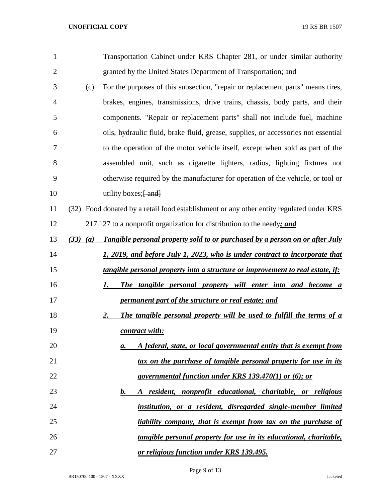| $\mathbf{1}$   |              | Transportation Cabinet under KRS Chapter 281, or under similar authority                 |
|----------------|--------------|------------------------------------------------------------------------------------------|
| $\overline{2}$ |              | granted by the United States Department of Transportation; and                           |
| 3              | (c)          | For the purposes of this subsection, "repair or replacement parts" means tires,          |
| 4              |              | brakes, engines, transmissions, drive trains, chassis, body parts, and their             |
| 5              |              | components. "Repair or replacement parts" shall not include fuel, machine                |
| 6              |              | oils, hydraulic fluid, brake fluid, grease, supplies, or accessories not essential       |
| 7              |              | to the operation of the motor vehicle itself, except when sold as part of the            |
| 8              |              | assembled unit, such as cigarette lighters, radios, lighting fixtures not                |
| 9              |              | otherwise required by the manufacturer for operation of the vehicle, or tool or          |
| 10             |              | utility boxes; [ and]                                                                    |
| 11             |              | (32) Food donated by a retail food establishment or any other entity regulated under KRS |
| 12             |              | 217.127 to a nonprofit organization for distribution to the needy; and                   |
| 13             | $(33)$ $(a)$ | Tangible personal property sold to or purchased by a person on or after July             |
| 14             |              | 1, 2019, and before July 1, 2023, who is under contract to incorporate that              |
| 15             |              | <i>tangible personal property into a structure or improvement to real estate, if:</i>    |
| 16             |              | The tangible personal property will enter into and become a<br>1.                        |
| 17             |              | <i>permanent part of the structure or real estate; and</i>                               |
| 18             |              | The tangible personal property will be used to fulfill the terms of a<br><u>2.</u>       |
| 19             |              | contract with:                                                                           |
| 20             |              | A federal, state, or local governmental entity that is exempt from<br>а.                 |
| 21             |              | tax on the purchase of tangible personal property for use in its                         |
| 22             |              | governmental function under KRS 139.470(1) or (6); or                                    |
| 23             |              | resident, nonprofit educational, charitable, or religious<br>b.<br>A                     |
| 24             |              | institution, or a resident, disregarded single-member limited                            |
| 25             |              | liability company, that is exempt from tax on the purchase of                            |
| 26             |              | tangible personal property for use in its educational, charitable,                       |
| 27             |              | or religious function under KRS 139.495.                                                 |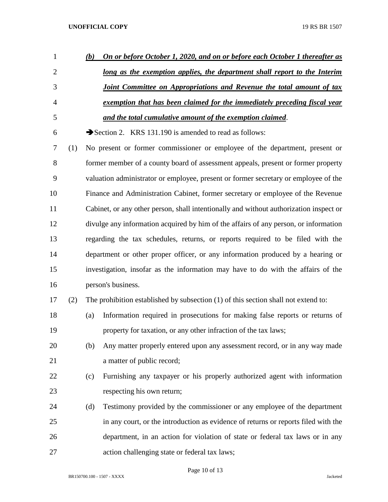| 1              |     | (b) | On or before October 1, 2020, and on or before each October 1 thereafter as            |
|----------------|-----|-----|----------------------------------------------------------------------------------------|
| $\overline{2}$ |     |     | long as the exemption applies, the department shall report to the Interim              |
| 3              |     |     | Joint Committee on Appropriations and Revenue the total amount of tax                  |
| $\overline{4}$ |     |     | exemption that has been claimed for the immediately preceding fiscal year              |
| 5              |     |     | and the total cumulative amount of the exemption claimed.                              |
| 6              |     |     | Section 2. KRS 131.190 is amended to read as follows:                                  |
| 7              | (1) |     | No present or former commissioner or employee of the department, present or            |
| 8              |     |     | former member of a county board of assessment appeals, present or former property      |
| 9              |     |     | valuation administrator or employee, present or former secretary or employee of the    |
| 10             |     |     | Finance and Administration Cabinet, former secretary or employee of the Revenue        |
| 11             |     |     | Cabinet, or any other person, shall intentionally and without authorization inspect or |
| 12             |     |     | divulge any information acquired by him of the affairs of any person, or information   |
| 13             |     |     | regarding the tax schedules, returns, or reports required to be filed with the         |
| 14             |     |     | department or other proper officer, or any information produced by a hearing or        |
| 15             |     |     | investigation, insofar as the information may have to do with the affairs of the       |
| 16             |     |     | person's business.                                                                     |
| 17             | (2) |     | The prohibition established by subsection (1) of this section shall not extend to:     |
| 18             |     | (a) | Information required in prosecutions for making false reports or returns of            |
| 19             |     |     | property for taxation, or any other infraction of the tax laws;                        |
| 20             |     | (b) | Any matter properly entered upon any assessment record, or in any way made             |
| 21             |     |     | a matter of public record;                                                             |
| 22             |     | (c) | Furnishing any taxpayer or his properly authorized agent with information              |
| 23             |     |     | respecting his own return;                                                             |
| 24             |     | (d) | Testimony provided by the commissioner or any employee of the department               |
| 25             |     |     | in any court, or the introduction as evidence of returns or reports filed with the     |
| 26             |     |     | department, in an action for violation of state or federal tax laws or in any          |
| 27             |     |     | action challenging state or federal tax laws;                                          |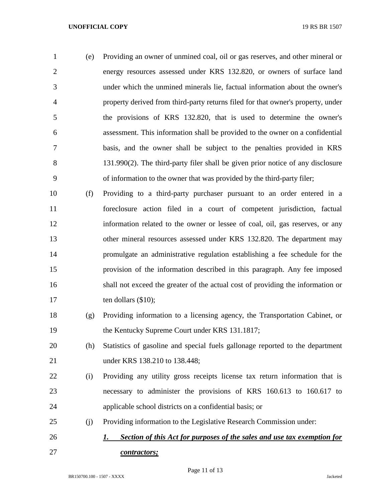(e) Providing an owner of unmined coal, oil or gas reserves, and other mineral or energy resources assessed under KRS 132.820, or owners of surface land under which the unmined minerals lie, factual information about the owner's property derived from third-party returns filed for that owner's property, under the provisions of KRS 132.820, that is used to determine the owner's assessment. This information shall be provided to the owner on a confidential basis, and the owner shall be subject to the penalties provided in KRS 131.990(2). The third-party filer shall be given prior notice of any disclosure of information to the owner that was provided by the third-party filer;

- (f) Providing to a third-party purchaser pursuant to an order entered in a foreclosure action filed in a court of competent jurisdiction, factual information related to the owner or lessee of coal, oil, gas reserves, or any other mineral resources assessed under KRS 132.820. The department may promulgate an administrative regulation establishing a fee schedule for the provision of the information described in this paragraph. Any fee imposed shall not exceed the greater of the actual cost of providing the information or ten dollars (\$10);
- (g) Providing information to a licensing agency, the Transportation Cabinet, or 19 the Kentucky Supreme Court under KRS 131.1817;
- (h) Statistics of gasoline and special fuels gallonage reported to the department under KRS 138.210 to 138.448;
- (i) Providing any utility gross receipts license tax return information that is necessary to administer the provisions of KRS 160.613 to 160.617 to applicable school districts on a confidential basis; or
- (j) Providing information to the Legislative Research Commission under:
- *1. Section of this Act for purposes of the sales and use tax exemption for contractors;*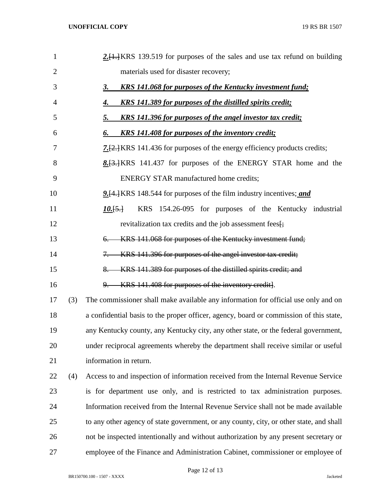| $\mathbf{1}$   |     | $2.1$ , KRS 139.519 for purposes of the sales and use tax refund on building            |
|----------------|-----|-----------------------------------------------------------------------------------------|
| $\overline{2}$ |     | materials used for disaster recovery;                                                   |
| 3              |     | <b>KRS</b> 141.068 for purposes of the Kentucky investment fund;<br><u>3.</u>           |
| 4              |     | <b>KRS</b> 141.389 for purposes of the distilled spirits credit;<br>4.                  |
| 5              |     | <u>KRS 141.396 for purposes of the angel investor tax credit;</u><br><u>5.</u>          |
| 6              |     | <b>KRS</b> 141.408 for purposes of the inventory credit;<br>6.                          |
| 7              |     | <b>7.</b> [2.] KRS 141.436 for purposes of the energy efficiency products credits;      |
| 8              |     | 8. [3.] KRS 141.437 for purposes of the ENERGY STAR home and the                        |
| 9              |     | <b>ENERGY STAR manufactured home credits;</b>                                           |
| 10             |     | <b>9.</b> [4.] KRS 148.544 for purposes of the film industry incentives; and            |
| 11             |     | KRS 154.26-095 for purposes of the Kentucky industrial<br>$10.5 +$                      |
| 12             |     | revitalization tax credits and the job assessment fees <sup>-1</sup>                    |
| 13             |     | KRS 141.068 for purposes of the Kentucky investment fund;<br>6.                         |
| 14             |     | KRS 141.396 for purposes of the angel investor tax credit;<br>$7-$                      |
| 15             |     | KRS 141.389 for purposes of the distilled spirits credit; and<br>$8-$                   |
| 16             |     | KRS 141.408 for purposes of the inventory credit].<br><u>9.</u>                         |
| 17             | (3) | The commissioner shall make available any information for official use only and on      |
| 18             |     | a confidential basis to the proper officer, agency, board or commission of this state,  |
| 19             |     | any Kentucky county, any Kentucky city, any other state, or the federal government,     |
| 20             |     | under reciprocal agreements whereby the department shall receive similar or useful      |
| 21             |     | information in return.                                                                  |
| 22             | (4) | Access to and inspection of information received from the Internal Revenue Service      |
| 23             |     | is for department use only, and is restricted to tax administration purposes.           |
| 24             |     | Information received from the Internal Revenue Service shall not be made available      |
| 25             |     | to any other agency of state government, or any county, city, or other state, and shall |
| 26             |     | not be inspected intentionally and without authorization by any present secretary or    |
| 27             |     | employee of the Finance and Administration Cabinet, commissioner or employee of         |

Page 12 of 13